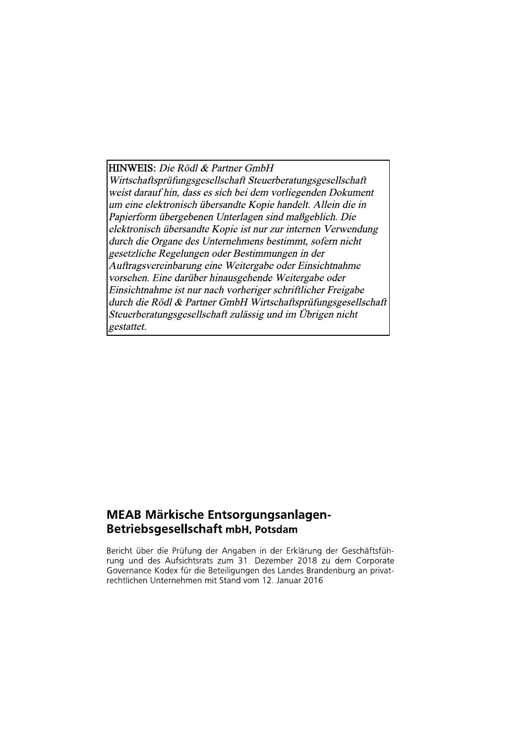**HINWEIS:** Die Rödl & Partner GmbH

Wirtschaftsprüfungsgesellschaft Steuerberatungsgesellschaft weist darauf hin, dass es sich bei dem vorliegenden Dokument um eine elektronisch übersandte Kopie handelt. Allein die in Papierform übergebenen Unterlagen sind maßgeblich. Die elektronisch übersandte Kopie ist nur zur internen Verwendung durch die Organe des Unternehmens bestimmt, sofern nicht gesetzliche Regelungen oder Bestimmungen in der Auftragsvereinbarung eine Weitergabe oder Einsichtnahme vorsehen. Eine darüber hinausgehende Weitergabe oder Einsichtnahme ist nur nach vorheriger schriftlicher Freigabe durch die Rödl & Partner GmbH Wirtschaftsprüfungsgesellschaft Steuerberatungsgesellschaft zulässig und im Übrigen nicht gestattet.

### **MEAB Märkische Entsorgungsanlagen-Betriebsgesellschaft mbH, Potsdam**

Bericht über die Prüfung der Angaben in der Erklärung der Geschäftsführung und des Aufsichtsrats zum 31. Dezember 2018 zu dem Corporate Governance Kodex für die Beteiligungen des Landes Brandenburg an privatrechtlichen Unternehmen mit Stand vom 12. Januar 2016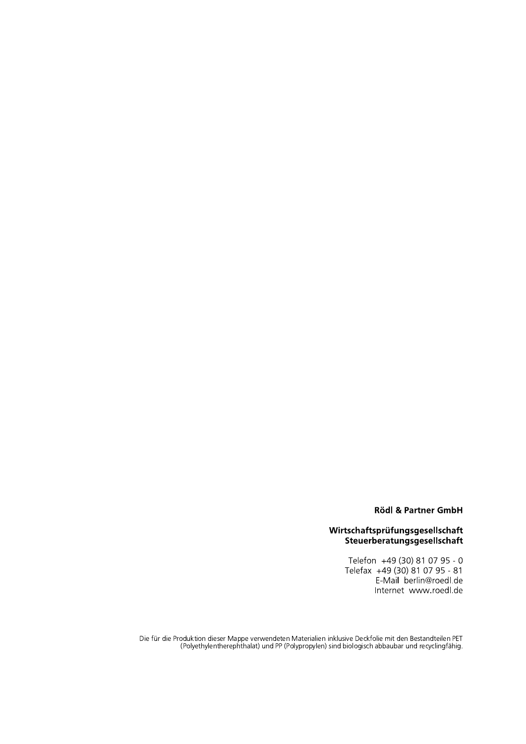### **Rödl & Partner GmbH**

# Wirtschaftsprüfungsgesellschaft<br>Steuerberatungsgesellschaft

Telefon +49 (30) 81 07 95 - 0<br>Telefax +49 (30) 81 07 95 - 81<br>E-Mail berlin@roedl.de Internet www.roedl.de

Die für die Produktion dieser Mappe verwendeten Materialien inklusive Deckfolie mit den Bestandteilen PET<br>.Polyethylentherephthalat) und PP (Polypropylen) sind biologisch abbaubar und recyclingfähig.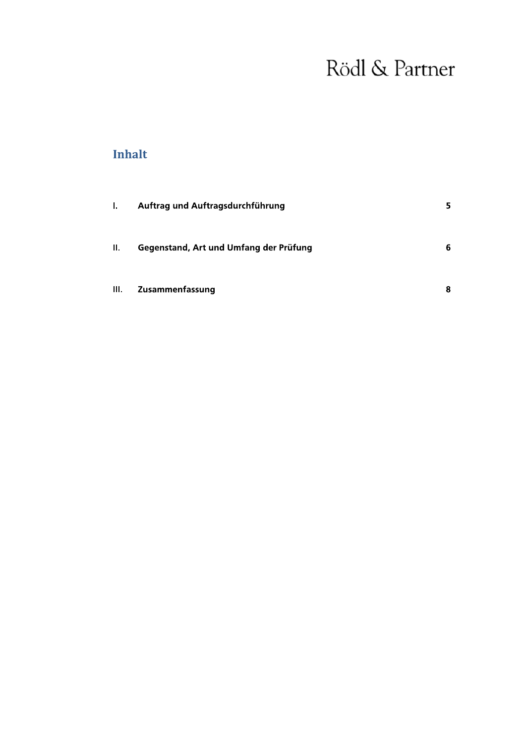### **Inhalt**

| Ъ.   | Auftrag und Auftragsdurchführung       | 5 |
|------|----------------------------------------|---|
| Ш.   | Gegenstand, Art und Umfang der Prüfung | 6 |
| III. | Zusammenfassung                        | 8 |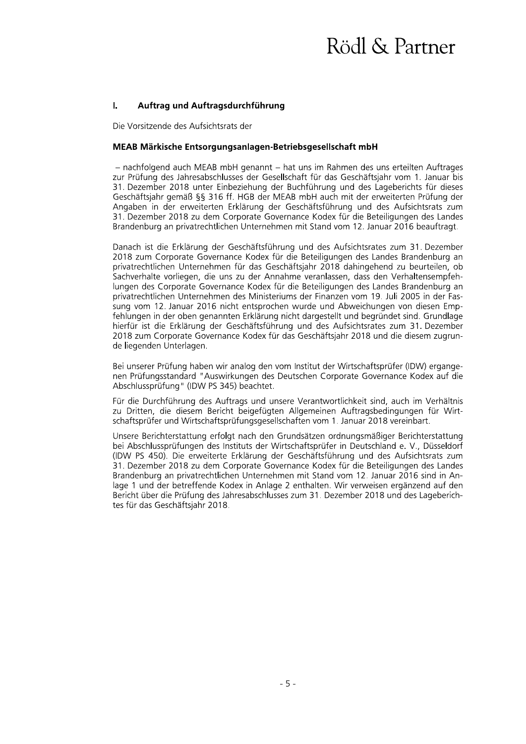#### $\mathbf{L}$ Aurtrag und Aurtragsdurchrunrung

Die Vorsitzende des Aufsichtsrats der

### MEAB Markische Entsorgungsanlagen-Betriebsgesellschaft mbH

**I. Auftrag und Auftragsdu<br>
Die Vorsitzende des Aufsichtsrats<br>
MEAB Mä<b>rkische Entsorgungs**<br>
– nachfolgend auch MEAB mb<br>
zur Prüfung des Jahresabschluss<br>
31. Dezember 2018 unter Einbe<br>
Geschäftsjahr gemäß §§ 316 ff.<br>
Angab – nachfolgend auch MEAB mbH genannt – nat uns im Ranmen des uns erteilten Auftrages zur Prufung des Jahresabschlusses der Gesellschaft für das Geschaftsjahr vom T. Jahuar bis 31. Dezember 2018 unter Einbeziehung der Buchführung und des Lageberichts für dieses Geschaftsjanr gemaß §§ 316 ff. HGB der MEAB mbH auch mit der erweiterten Prufung der Angaben in der erweiterten Erklarung der Geschaftsführung und des Aufsichtsrats zum 31. Dezember 2018 zu dem Corporate Governance Kodex für die Beteiligungen des Landes  $\mathsf B$ randenburg an privatrechtlichen Unternehmen mit Stand vom T2. Januar 2016 beauftragt.

> Danach ist die Erklarung der Geschaftsfuhrung und des Aufsichtsrates zum 31. Dezember 2018 zum Corporate Governance Kodex für die Beteiligungen des Landes Brandenburg an privatrechtlichen Unternehmen für das Geschaftsjahr 2018 daningenend zu beurtellen, ob Sachvernalte vorllegen, die uns zu der Annahme veranlassen, dass den verhaltensempfenlungen des Corporate Governance Kodex für die Beteiligungen des Landes Brandenburg an privatrechtlichen Unternehmen des Ministeriums der Finanzen vom 19. Juli 2005 in der Fassung vom 12. Januar 2016 nicht entsprochen wurde und Abweichungen von diesen Emptehlungen in der oben genannten Erklarung nicht dargestellt und begrundet sind. Grundlage hierfur ist die Erklarung der Geschaftsführung und des Aufsichtsrates zum 31. Dezember 2018 zum Corporate Governance Kodex für das Geschäftsjahr 2018 und die diesem zugründe liegenden Unterlagen.

> Bei unserer Prutung haben wir analog den vom Institut der Wirtschaftsprufer (IDW) ergangehen Prufungsstandard "Auswirkungen des Deutschen Corporate Governance Kodex auf die Abschlussprutung" (IDW PS 345) beachtet.

> Fur die Durchfunfung des Auftrags und unsere Verantwortlichkeit sind, auch im Vernaltnis zu Dritten, die diesem Bericht beigefügten Allgemeinen Auftragsbedingungen für Wirt- ${\tt s}$ chaftsprufer und Wirtschaftsprufungsgesellschaften vom T. Januar 2018 vereinbart.

> Unsere Berichterstattung erfolgt hach den Grundsatzen ordnungsmalsiger Berichterstattung bei Abschlussprüfungen des instituts der Wirtschaftsprüfer in Deutschland e. V., Dusseldorf (IDW PS 450). Die erweiterte Erklarung der Geschaftsführung und des Aufsichtsrats zum 31. Dezember 2018 zu dem Corporate Governance Kodex für die Beteiligungen des Landes Brandenburg an privatrechtlichen Unternehmen mit Stand vom 12. Januar 2016 sind in Anlage T und der betreffende Kodex in Anlage 2 enthalten. Wir verweisen erganzend auf den  $\frac{1}{100}$  and  $\frac{1}{100}$  are standard and  $\frac{1}{100}$  and  $\frac{1}{100}$  are  $\frac{1}{100}$  and  $\frac{1}{100}$  and  $\frac{1}{100}$  are  $\frac{1}{100}$ tes für das Geschaftsjahr 2018.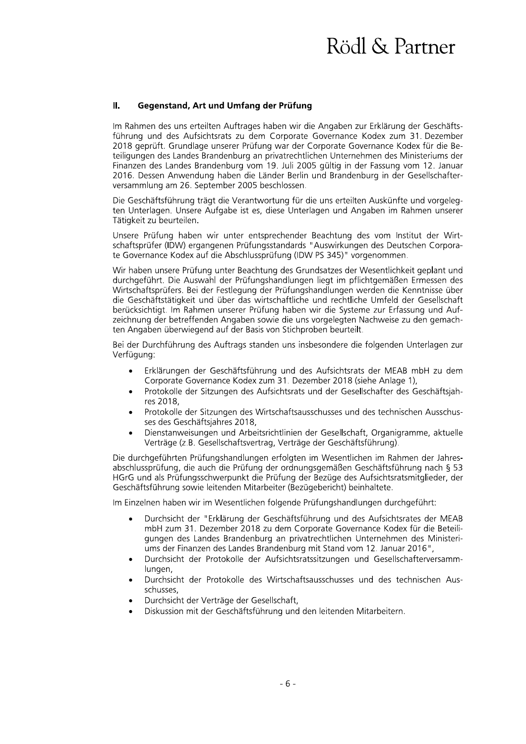#### $\mathbf{II}$ . Gegenstand, Art und Umfang der Prüfung

Im Rahmen des uns erteilten Auftrages haben wir die Angaben zur Erklärung der Geschäftsführung und des Aufsichtsrats zu dem Corporate Governance Kodex zum 31. Dezember 2018 geprüft. Grundlage unserer Prüfung war der Corporate Governance Kodex für die Beteiligungen des Landes Brandenburg an privatrechtlichen Unternehmen des Ministeriums der Finanzen des Landes Brandenburg vom 19. Juli 2005 gültig in der Fassung vom 12. Januar 2016. Dessen Anwendung haben die Länder Berlin und Brandenburg in der Gesellschafterversammlung am 26. September 2005 beschlossen.

Die Geschäftsführung trägt die Verantwortung für die uns erteilten Auskünfte und vorgelegten Unterlagen. Unsere Aufgabe ist es, diese Unterlagen und Angaben im Rahmen unserer Tätigkeit zu beurteilen.

Unsere Prüfung haben wir unter entsprechender Beachtung des vom Institut der Wirtschaftsprüfer (IDW) ergangenen Prüfungsstandards "Auswirkungen des Deutschen Corporate Governance Kodex auf die Abschlussprüfung (IDW PS 345)" vorgenommen.

Wir haben unsere Prüfung unter Beachtung des Grundsatzes der Wesentlichkeit geplant und durchgeführt. Die Auswahl der Prüfungshandlungen liegt im pflichtgemäßen Ermessen des Wirtschaftsprüfers. Bei der Festlegung der Prüfungshandlungen werden die Kenntnisse über die Geschäftstätigkeit und über das wirtschaftliche und rechtliche Umfeld der Gesellschaft berücksichtigt. Im Rahmen unserer Prüfung haben wir die Systeme zur Erfassung und Aufzeichnung der betreffenden Angaben sowie die uns vorgelegten Nachweise zu den gemachten Angaben überwiegend auf der Basis von Stichproben beurteilt.

Bei der Durchführung des Auftrags standen uns insbesondere die folgenden Unterlagen zur Verfügung:

- Erklärungen der Geschäftsführung und des Aufsichtsrats der MEAB mbH zu dem  $\bullet$ Corporate Governance Kodex zum 31. Dezember 2018 (siehe Anlage 1),
- Protokolle der Sitzungen des Aufsichtsrats und der Gesellschafter des Geschäftsjahres 2018,
- Protokolle der Sitzungen des Wirtschaftsausschusses und des technischen Ausschusses des Geschäftsjahres 2018,
- Dienstanweisungen und Arbeitsrichtlinien der Gesellschaft, Organigramme, aktuelle  $\bullet$ Verträge (z.B. Gesellschaftsvertrag, Verträge der Geschäftsführung).

Die durchgeführten Prüfungshandlungen erfolgten im Wesentlichen im Rahmen der Jahresabschlussprüfung, die auch die Prüfung der ordnungsgemäßen Geschäftsführung nach § 53 HGrG und als Prüfungsschwerpunkt die Prüfung der Bezüge des Aufsichtsratsmitglieder, der Geschäftsführung sowie leitenden Mitarbeiter (Bezügebericht) beinhaltete.

Im Einzelnen haben wir im Wesentlichen folgende Prüfungshandlungen durchgeführt:

- Durchsicht der "Erklärung der Geschäftsführung und des Aufsichtsrates der MEAB mbH zum 31. Dezember 2018 zu dem Corporate Governance Kodex für die Beteiligungen des Landes Brandenburg an privatrechtlichen Unternehmen des Ministeriums der Finanzen des Landes Brandenburg mit Stand vom 12. Januar 2016",
- Durchsicht der Protokolle der Aufsichtsratssitzungen und Gesellschafterversammlungen,
- Durchsicht der Protokolle des Wirtschaftsausschusses und des technischen Ausschusses.
- Durchsicht der Verträge der Gesellschaft,
- Diskussion mit der Geschäftsführung und den leitenden Mitarbeitern.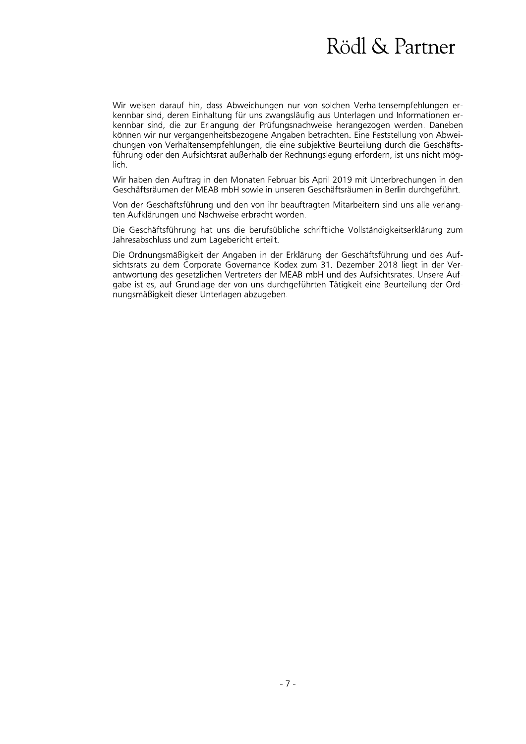Wir weisen darauf hin, dass Abweichungen nur von solchen Verhaltensempfehlungen erkennbar sind, deren Einhaltung für uns zwangsläufig aus Unterlagen und Informationen erkennbar sind, die zur Erlangung der Prüfungsnachweise herangezogen werden. Daneben können wir nur vergangenheitsbezogene Angaben betrachten. Eine Feststellung von Abweichungen von Verhaltensempfehlungen, die eine subjektive Beurteilung durch die Geschäftsführung oder den Aufsichtsrat außerhalb der Rechnungslegung erfordern, ist uns nicht möglich.

Wir haben den Auftrag in den Monaten Februar bis April 2019 mit Unterbrechungen in den Geschäftsräumen der MEAB mbH sowie in unseren Geschäftsräumen in Berlin durchgeführt.

Von der Geschäftsführung und den von ihr beauftragten Mitarbeitern sind uns alle verlangten Aufklärungen und Nachweise erbracht worden.

Die Geschäftsführung hat uns die berufsübliche schriftliche Vollständigkeitserklärung zum Jahresabschluss und zum Lagebericht erteilt.

Die Ordnungsmäßigkeit der Angaben in der Erklärung der Geschäftsführung und des Aufsichtsrats zu dem Corporate Governance Kodex zum 31. Dezember 2018 liegt in der Verantwortung des gesetzlichen Vertreters der MEAB mbH und des Aufsichtsrates. Unsere Aufgabe ist es, auf Grundlage der von uns durchgeführten Tätigkeit eine Beurteilung der Ordnungsmäßigkeit dieser Unterlagen abzugeben.